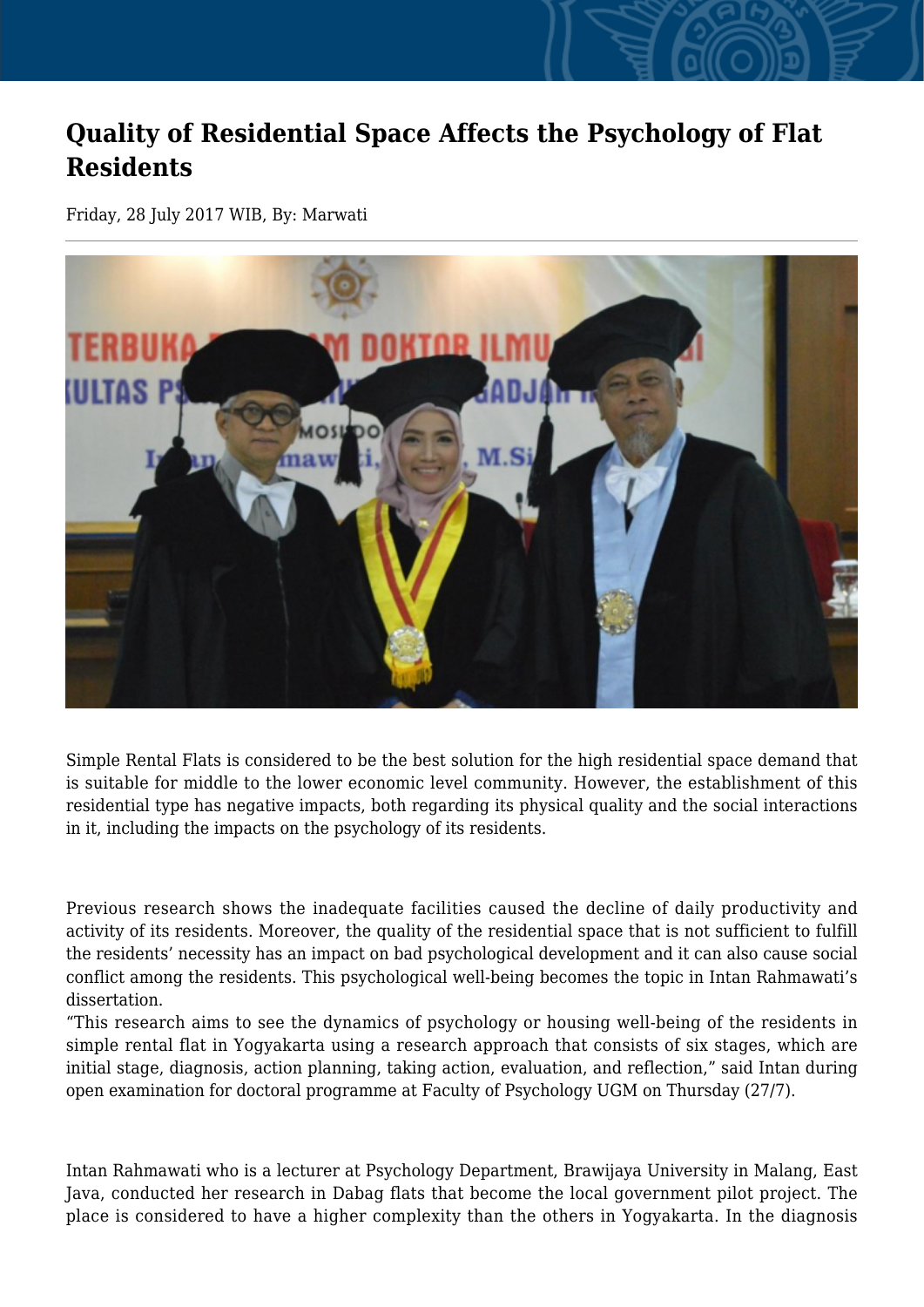## **Quality of Residential Space Affects the Psychology of Flat Residents**

Friday, 28 July 2017 WIB, By: Marwati



Simple Rental Flats is considered to be the best solution for the high residential space demand that is suitable for middle to the lower economic level community. However, the establishment of this residential type has negative impacts, both regarding its physical quality and the social interactions in it, including the impacts on the psychology of its residents.

Previous research shows the inadequate facilities caused the decline of daily productivity and activity of its residents. Moreover, the quality of the residential space that is not sufficient to fulfill the residents' necessity has an impact on bad psychological development and it can also cause social conflict among the residents. This psychological well-being becomes the topic in Intan Rahmawati's dissertation.

"This research aims to see the dynamics of psychology or housing well-being of the residents in simple rental flat in Yogyakarta using a research approach that consists of six stages, which are initial stage, diagnosis, action planning, taking action, evaluation, and reflection," said Intan during open examination for doctoral programme at Faculty of Psychology UGM on Thursday (27/7).

Intan Rahmawati who is a lecturer at Psychology Department, Brawijaya University in Malang, East Java, conducted her research in Dabag flats that become the local government pilot project. The place is considered to have a higher complexity than the others in Yogyakarta. In the diagnosis